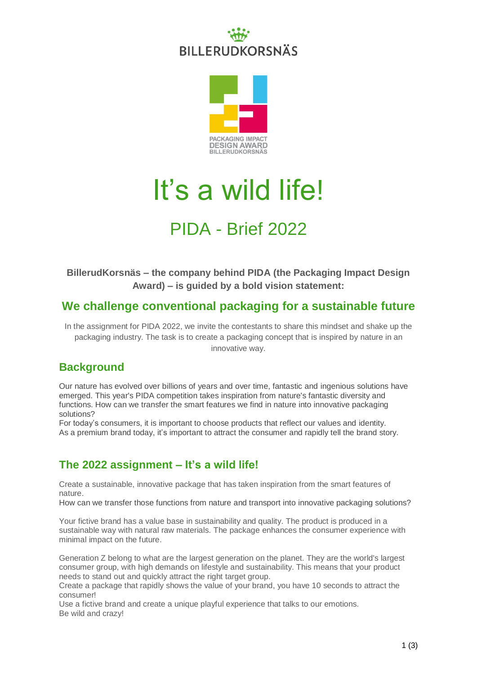## **BILLERUDKORSNÄS**



# It's a wild life!

### PIDA - Brief 2022

**BillerudKorsnäs – the company behind PIDA (the Packaging Impact Design Award) – is guided by a bold vision statement:**

#### **We challenge conventional packaging for a sustainable future**

In the assignment for PIDA 2022, we invite the contestants to share this mindset and shake up the packaging industry. The task is to create a packaging concept that is inspired by nature in an innovative way.

#### **Background**

Our nature has evolved over billions of years and over time, fantastic and ingenious solutions have emerged. This year's PIDA competition takes inspiration from nature's fantastic diversity and functions. How can we transfer the smart features we find in nature into innovative packaging solutions?

For today's consumers, it is important to choose products that reflect our values and identity. As a premium brand today, it's important to attract the consumer and rapidly tell the brand story.

#### **The 2022 assignment – It's a wild life!**

Create a sustainable, innovative package that has taken inspiration from the smart features of nature.

How can we transfer those functions from nature and transport into innovative packaging solutions?

Your fictive brand has a value base in sustainability and quality. The product is produced in a sustainable way with natural raw materials. The package enhances the consumer experience with minimal impact on the future.

Generation Z belong to what are the largest generation on the planet. They are the world's largest consumer group, with high demands on lifestyle and sustainability. This means that your product needs to stand out and quickly attract the right target group.

Create a package that rapidly shows the value of your brand, you have 10 seconds to attract the consumer!

Use a fictive brand and create a unique playful experience that talks to our emotions. Be wild and crazy!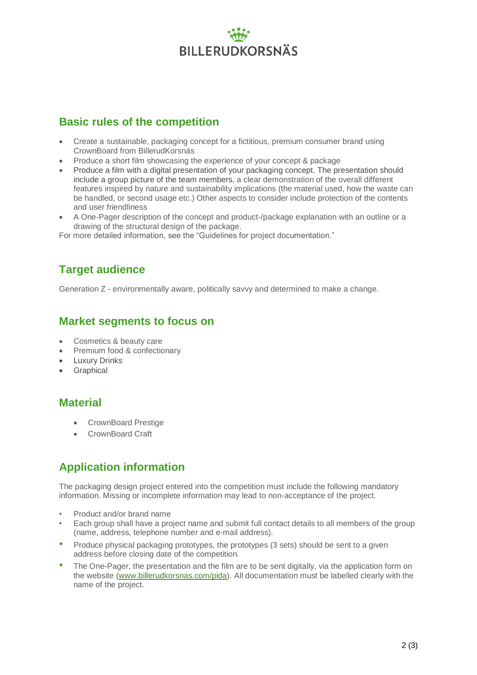### **BILLERUDKORSNÄS**

#### **Basic rules of the competition**

- Create a sustainable, packaging concept for a fictitious, premium consumer brand using CrownBoard from BillerudKorsnäs
- Produce a short film showcasing the experience of your concept & package
- Produce a film with a digital presentation of your packaging concept. The presentation should include a group picture of the team members, a clear demonstration of the overall different features inspired by nature and sustainability implications (the material used, how the waste can be handled, or second usage etc.) Other aspects to consider include protection of the contents and user friendliness
- A One-Pager description of the concept and product-/package explanation with an outline or a drawing of the structural design of the package.

For more detailed information, see the "Guidelines for project documentation."

#### **Target audience**

Generation Z - environmentally aware, politically savvy and determined to make a change.

#### **Market segments to focus on**

- Cosmetics & beauty care
- Premium food & confectionary
- Luxury Drinks
- **Graphical**

#### **Material**

- CrownBoard Prestige
- CrownBoard Craft

#### **Application information**

The packaging design project entered into the competition must include the following mandatory information. Missing or incomplete information may lead to non-acceptance of the project.

- Product and/or brand name
- Each group shall have a project name and submit full contact details to all members of the group (name, address, telephone number and e-mail address).
- Produce physical packaging prototypes, the prototypes (3 sets) should be sent to a given address before closing date of the competition.
- The One-Pager, the presentation and the film are to be sent digitally, via the application form on the website [\(www.billerudkorsnas.com/pida\)](http://www.billerudkorsnas.com/pida). All documentation must be labelled clearly with the name of the project.